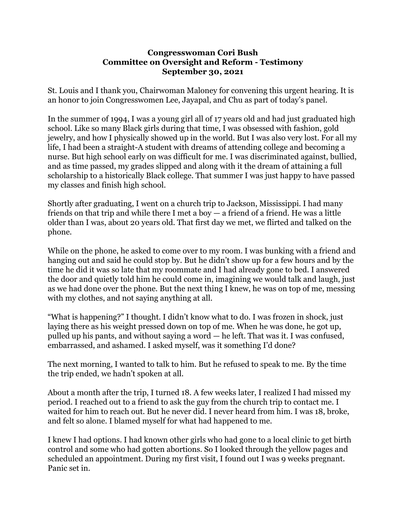## **Congresswoman Cori Bush Committee on Oversight and Reform - Testimony September 30, 2021**

St. Louis and I thank you, Chairwoman Maloney for convening this urgent hearing. It is an honor to join Congresswomen Lee, Jayapal, and Chu as part of today's panel.

In the summer of 1994, I was a young girl all of 17 years old and had just graduated high school. Like so many Black girls during that time, I was obsessed with fashion, gold jewelry, and how I physically showed up in the world. But I was also very lost. For all my life, I had been a straight-A student with dreams of attending college and becoming a nurse. But high school early on was difficult for me. I was discriminated against, bullied, and as time passed, my grades slipped and along with it the dream of attaining a full scholarship to a historically Black college. That summer I was just happy to have passed my classes and finish high school.

Shortly after graduating, I went on a church trip to Jackson, Mississippi. I had many friends on that trip and while there I met a boy  $-$  a friend of a friend. He was a little older than I was, about 20 years old. That first day we met, we flirted and talked on the phone.

While on the phone, he asked to come over to my room. I was bunking with a friend and hanging out and said he could stop by. But he didn't show up for a few hours and by the time he did it was so late that my roommate and I had already gone to bed. I answered the door and quietly told him he could come in, imagining we would talk and laugh, just as we had done over the phone. But the next thing I knew, he was on top of me, messing with my clothes, and not saying anything at all.

"What is happening?" I thought. I didn't know what to do. I was frozen in shock, just laying there as his weight pressed down on top of me. When he was done, he got up, pulled up his pants, and without saying a word — he left. That was it. I was confused, embarrassed, and ashamed. I asked myself, was it something I'd done?

The next morning, I wanted to talk to him. But he refused to speak to me. By the time the trip ended, we hadn't spoken at all.

About a month after the trip, I turned 18. A few weeks later, I realized I had missed my period. I reached out to a friend to ask the guy from the church trip to contact me. I waited for him to reach out. But he never did. I never heard from him. I was 18, broke, and felt so alone. I blamed myself for what had happened to me.

I knew I had options. I had known other girls who had gone to a local clinic to get birth control and some who had gotten abortions. So I looked through the yellow pages and scheduled an appointment. During my first visit, I found out I was 9 weeks pregnant. Panic set in.